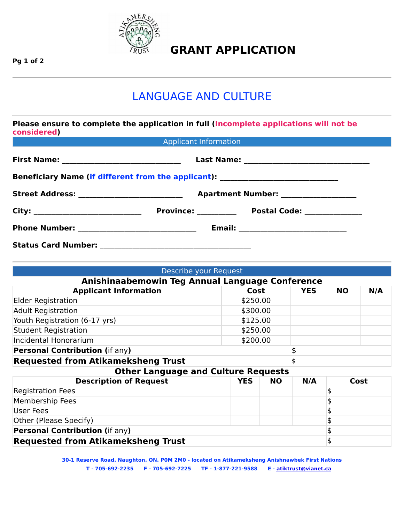

## **GRANT APPLICATION**

**Pg 1 of 2**

## LANGUAGE AND CULTURE

| <b>considered</b>          |                              | Please ensure to complete the application in full (Incomplete applications will not be |  |  |
|----------------------------|------------------------------|----------------------------------------------------------------------------------------|--|--|
|                            | <b>Applicant Information</b> |                                                                                        |  |  |
|                            |                              |                                                                                        |  |  |
|                            |                              | Beneficiary Name (if different from the applicant): ____________________________       |  |  |
|                            |                              |                                                                                        |  |  |
|                            |                              |                                                                                        |  |  |
|                            |                              |                                                                                        |  |  |
| <b>Status Card Number:</b> |                              |                                                                                        |  |  |

| User Fees                                 |  |  |
|-------------------------------------------|--|--|
| <b>Other (Please Specify)</b>             |  |  |
| <b>Personal Contribution (if any)</b>     |  |  |
| <b>Requested from Atikameksheng Trust</b> |  |  |

| Describe your Request                           |            |           |            |           |      |  |  |
|-------------------------------------------------|------------|-----------|------------|-----------|------|--|--|
| Anishinaabemowin Teg Annual Language Conference |            |           |            |           |      |  |  |
| <b>Applicant Information</b>                    | Cost       |           | <b>YES</b> | <b>NO</b> | N/A  |  |  |
| <b>Elder Registration</b>                       | \$250.00   |           |            |           |      |  |  |
| <b>Adult Registration</b>                       | \$300.00   |           |            |           |      |  |  |
| Youth Registration (6-17 yrs)                   |            | \$125.00  |            |           |      |  |  |
| <b>Student Registration</b>                     |            | \$250.00  |            |           |      |  |  |
| <b>Incidental Honorarium</b>                    |            | \$200.00  |            |           |      |  |  |
| <b>Personal Contribution (if any)</b>           |            |           | \$         |           |      |  |  |
| <b>Requested from Atikameksheng Trust</b>       |            |           |            |           |      |  |  |
| <b>Other Language and Culture Requests</b>      |            |           |            |           |      |  |  |
| <b>Description of Request</b>                   | <b>YES</b> | <b>NO</b> | N/A        |           | Cost |  |  |
| <b>Registration Fees</b>                        |            |           |            | \$        |      |  |  |
| <b>Membership Fees</b>                          |            |           |            |           |      |  |  |

**30-1 Reserve Road. Naughton, ON. P0M 2M0 - located on Atikameksheng Anishnawbek First Nations T - 705-692-2235 F - 705-692-7225 TF - 1-877-221-9588 E - [atiktrust@vianet.ca](mailto:atiktrust@vianet.ca)**